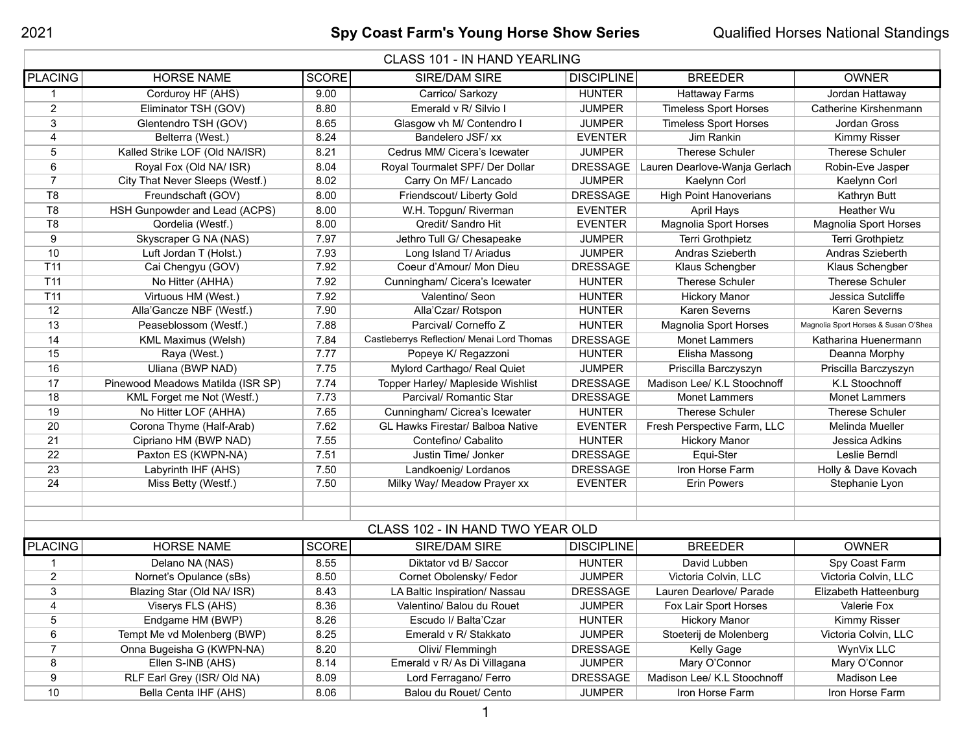| <b>CLASS 101 - IN HAND YEARLING</b> |                                   |              |                                            |                   |                               |                                      |  |
|-------------------------------------|-----------------------------------|--------------|--------------------------------------------|-------------------|-------------------------------|--------------------------------------|--|
| <b>PLACING</b>                      | <b>HORSE NAME</b>                 | <b>SCORE</b> | SIRE/DAM SIRE                              | <b>DISCIPLINE</b> | <b>BREEDER</b>                | <b>OWNER</b>                         |  |
| 1                                   | Corduroy HF (AHS)                 | 9.00         | Carrico/ Sarkozy                           | <b>HUNTER</b>     | <b>Hattaway Farms</b>         | Jordan Hattaway                      |  |
| $\overline{2}$                      | Eliminator TSH (GOV)              | 8.80         | Emerald v R/ Silvio I                      | <b>JUMPER</b>     | <b>Timeless Sport Horses</b>  | Catherine Kirshenmann                |  |
| 3                                   | Glentendro TSH (GOV)              | 8.65         | Glasgow vh M/ Contendro I                  | <b>JUMPER</b>     | <b>Timeless Sport Horses</b>  | Jordan Gross                         |  |
| 4                                   | Belterra (West.)                  | 8.24         | Bandelero JSF/ xx                          | <b>EVENTER</b>    | Jim Rankin                    | Kimmy Risser                         |  |
| 5                                   | Kalled Strike LOF (Old NA/ISR)    | 8.21         | Cedrus MM/ Cicera's Icewater               | <b>JUMPER</b>     | <b>Therese Schuler</b>        | <b>Therese Schuler</b>               |  |
| 6                                   | Royal Fox (Old NA/ ISR)           | 8.04         | Royal Tourmalet SPF/ Der Dollar            | <b>DRESSAGE</b>   | Lauren Dearlove-Wanja Gerlach | Robin-Eve Jasper                     |  |
| $\overline{7}$                      | City That Never Sleeps (Westf.)   | 8.02         | Carry On MF/ Lancado                       | <b>JUMPER</b>     | Kaelynn Corl                  | Kaelynn Corl                         |  |
| T <sub>8</sub>                      | Freundschaft (GOV)                | 8.00         | Friendscout/ Liberty Gold                  | <b>DRESSAGE</b>   | <b>High Point Hanoverians</b> | Kathryn Butt                         |  |
| T <sub>8</sub>                      | HSH Gunpowder and Lead (ACPS)     | 8.00         | W.H. Topgun/ Riverman                      | <b>EVENTER</b>    | April Hays                    | Heather Wu                           |  |
| T <sub>8</sub>                      | Qordelia (Westf.)                 | 8.00         | Qredit/ Sandro Hit                         | <b>EVENTER</b>    | <b>Magnolia Sport Horses</b>  | <b>Magnolia Sport Horses</b>         |  |
| 9                                   | Skyscraper G NA (NAS)             | 7.97         | Jethro Tull G/ Chesapeake                  | <b>JUMPER</b>     | Terri Grothpietz              | Terri Grothpietz                     |  |
| 10                                  | Luft Jordan T (Holst.)            | 7.93         | Long Island T/ Ariadus                     | <b>JUMPER</b>     | Andras Szieberth              | Andras Szieberth                     |  |
| T11                                 | Cai Chengyu (GOV)                 | 7.92         | Coeur d'Amour/ Mon Dieu                    | <b>DRESSAGE</b>   | Klaus Schengber               | Klaus Schengber                      |  |
| T11                                 | No Hitter (AHHA)                  | 7.92         | Cunningham/ Cicera's Icewater              | <b>HUNTER</b>     | <b>Therese Schuler</b>        | <b>Therese Schuler</b>               |  |
| T11                                 | Virtuous HM (West.)               | 7.92         | Valentino/ Seon                            | <b>HUNTER</b>     | <b>Hickory Manor</b>          | Jessica Sutcliffe                    |  |
| 12                                  | Alla'Gancze NBF (Westf.)          | 7.90         | Alla'Czar/ Rotspon                         | <b>HUNTER</b>     | <b>Karen Severns</b>          | Karen Severns                        |  |
| 13                                  | Peaseblossom (Westf.)             | 7.88         | Parcival/ Corneffo Z                       | <b>HUNTER</b>     | <b>Magnolia Sport Horses</b>  | Magnolia Sport Horses & Susan O'Shea |  |
| 14                                  | <b>KML Maximus (Welsh)</b>        | 7.84         | Castleberrys Reflection/ Menai Lord Thomas | <b>DRESSAGE</b>   | <b>Monet Lammers</b>          | Katharina Huenermann                 |  |
| 15                                  | Raya (West.)                      | 7.77         | Popeye K/ Regazzoni                        | <b>HUNTER</b>     | Elisha Massong                | Deanna Morphy                        |  |
| 16                                  | Uliana (BWP NAD)                  | 7.75         | Mylord Carthago/ Real Quiet                | <b>JUMPER</b>     | Priscilla Barczyszyn          | Priscilla Barczyszyn                 |  |
| 17                                  | Pinewood Meadows Matilda (ISR SP) | 7.74         | Topper Harley/ Mapleside Wishlist          | <b>DRESSAGE</b>   | Madison Lee/ K.L Stoochnoff   | K.L Stoochnoff                       |  |
| 18                                  | KML Forget me Not (Westf.)        | 7.73         | Parcival/ Romantic Star                    | <b>DRESSAGE</b>   | <b>Monet Lammers</b>          | <b>Monet Lammers</b>                 |  |
| 19                                  | No Hitter LOF (AHHA)              | 7.65         | Cunningham/ Cicrea's Icewater              | <b>HUNTER</b>     | <b>Therese Schuler</b>        | <b>Therese Schuler</b>               |  |
| 20                                  | Corona Thyme (Half-Arab)          | 7.62         | GL Hawks Firestar/ Balboa Native           | <b>EVENTER</b>    | Fresh Perspective Farm, LLC   | Melinda Mueller                      |  |
| 21                                  | Cipriano HM (BWP NAD)             | 7.55         | Contefino/ Cabalito                        | <b>HUNTER</b>     | <b>Hickory Manor</b>          | Jessica Adkins                       |  |
| 22                                  | Paxton ES (KWPN-NA)               | 7.51         | Justin Time/ Jonker                        | <b>DRESSAGE</b>   | Equi-Ster                     | Leslie Berndl                        |  |
| 23                                  | Labyrinth IHF (AHS)               | 7.50         | Landkoenig/ Lordanos                       | <b>DRESSAGE</b>   | Iron Horse Farm               | Holly & Dave Kovach                  |  |
| 24                                  | Miss Betty (Westf.)               | 7.50         | Milky Way/ Meadow Prayer xx                | <b>EVENTER</b>    | <b>Erin Powers</b>            | Stephanie Lyon                       |  |
|                                     |                                   |              |                                            |                   |                               |                                      |  |
|                                     |                                   |              |                                            |                   |                               |                                      |  |
| CLASS 102 - IN HAND TWO YEAR OLD    |                                   |              |                                            |                   |                               |                                      |  |
| <b>PLACING</b>                      | <b>HORSE NAME</b>                 | <b>SCORE</b> | <b>SIRE/DAM SIRE</b>                       | <b>DISCIPLINE</b> | <b>BREEDER</b>                | <b>OWNER</b>                         |  |
| 1                                   | Delano NA (NAS)                   | 8.55         | Diktator vd B/ Saccor                      | <b>HUNTER</b>     | David Lubben                  | Spy Coast Farm                       |  |
| $\overline{2}$                      | Nornet's Opulance (sBs)           | 8.50         | Cornet Obolensky/ Fedor                    | <b>JUMPER</b>     | Victoria Colvin, LLC          | Victoria Colvin, LLC                 |  |
| $\ensuremath{\mathsf{3}}$           | Blazing Star (Old NA/ ISR)        | 8.43         | LA Baltic Inspiration/ Nassau              | <b>DRESSAGE</b>   | Lauren Dearlove/ Parade       | Elizabeth Hatteenburg                |  |
| 4                                   | Viserys FLS (AHS)                 | 8.36         | Valentino/ Balou du Rouet                  | <b>JUMPER</b>     | Fox Lair Sport Horses         | Valerie Fox                          |  |
| 5                                   | Endgame HM (BWP)                  | 8.26         | Escudo I/ Balta'Czar                       | <b>HUNTER</b>     | <b>Hickory Manor</b>          | <b>Kimmy Risser</b>                  |  |
| 6                                   | Tempt Me vd Molenberg (BWP)       | 8.25         | Emerald v R/ Stakkato                      | <b>JUMPER</b>     | Stoeterij de Molenberg        | Victoria Colvin, LLC                 |  |
| $\overline{7}$                      | Onna Bugeisha G (KWPN-NA)         | 8.20         | Olivi/ Flemmingh                           | <b>DRESSAGE</b>   | Kelly Gage                    | WynVix LLC                           |  |
| 8                                   | Ellen S-INB (AHS)                 | 8.14         | Emerald v R/ As Di Villagana               | <b>JUMPER</b>     | Mary O'Connor                 | Mary O'Connor                        |  |
| 9                                   | RLF Earl Grey (ISR/ Old NA)       | 8.09         | Lord Ferragano/ Ferro                      | <b>DRESSAGE</b>   | Madison Lee/ K.L Stoochnoff   | Madison Lee                          |  |
| 10                                  | Bella Centa IHF (AHS)             | 8.06         | Balou du Rouet/ Cento                      | <b>JUMPER</b>     | Iron Horse Farm               | Iron Horse Farm                      |  |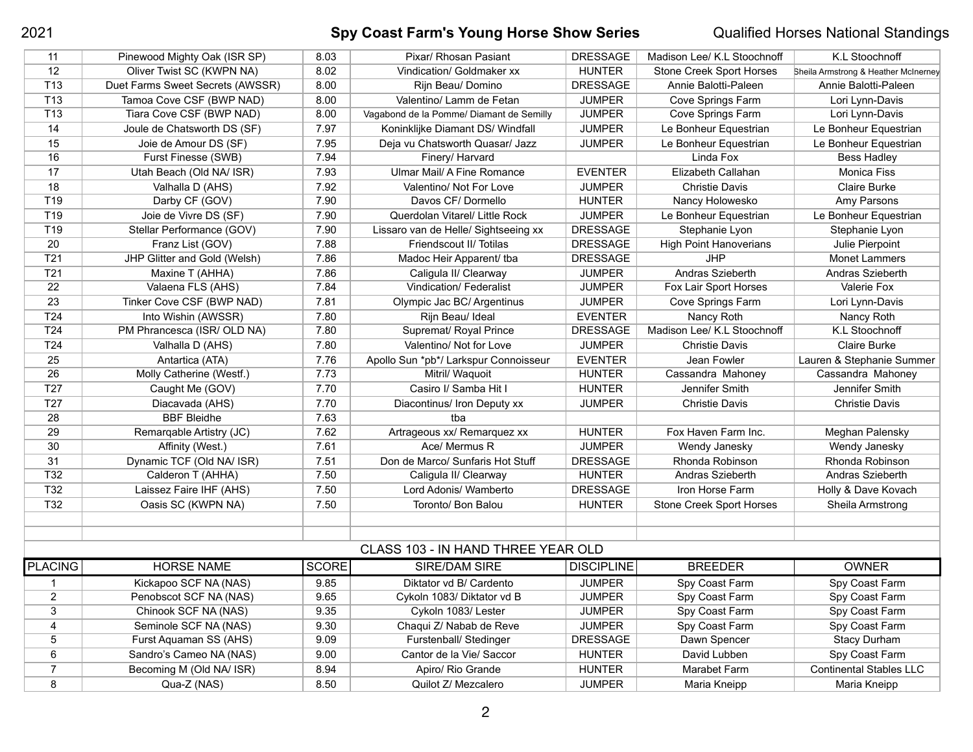## 2021 **Spy Coast Farm's Young Horse Show Series** Qualified Horses National Standings

| 11                                 | Pinewood Mighty Oak (ISR SP)     | 8.03         | Pixar/ Rhosan Pasiant                    | <b>DRESSAGE</b>   | Madison Lee/ K.L Stoochnoff     | K.L Stoochnoff                       |  |
|------------------------------------|----------------------------------|--------------|------------------------------------------|-------------------|---------------------------------|--------------------------------------|--|
| 12                                 | Oliver Twist SC (KWPN NA)        | 8.02         | Vindication/ Goldmaker xx                | <b>HUNTER</b>     | <b>Stone Creek Sport Horses</b> | Sheila Armstrong & Heather McInerney |  |
| T <sub>13</sub>                    | Duet Farms Sweet Secrets (AWSSR) | 8.00         | Rijn Beau/ Domino                        | <b>DRESSAGE</b>   | Annie Balotti-Paleen            | Annie Balotti-Paleen                 |  |
| T <sub>13</sub>                    | Tamoa Cove CSF (BWP NAD)         | 8.00         | Valentino/ Lamm de Fetan                 | <b>JUMPER</b>     | <b>Cove Springs Farm</b>        | Lori Lynn-Davis                      |  |
| T <sub>13</sub>                    | Tiara Cove CSF (BWP NAD)         | 8.00         | Vagabond de la Pomme/ Diamant de Semilly | <b>JUMPER</b>     | Cove Springs Farm               | Lori Lynn-Davis                      |  |
| 14                                 | Joule de Chatsworth DS (SF)      | 7.97         | Koninklijke Diamant DS/ Windfall         | <b>JUMPER</b>     | Le Bonheur Equestrian           | Le Bonheur Equestrian                |  |
| 15                                 | Joie de Amour DS (SF)            | 7.95         | Deja vu Chatsworth Quasar/ Jazz          | <b>JUMPER</b>     | Le Bonheur Equestrian           | Le Bonheur Equestrian                |  |
| 16                                 | Furst Finesse (SWB)              | 7.94         | Finery/ Harvard                          |                   | Linda Fox                       | <b>Bess Hadley</b>                   |  |
| 17                                 | Utah Beach (Old NA/ ISR)         | 7.93         | Ulmar Mail/ A Fine Romance               | <b>EVENTER</b>    | Elizabeth Callahan              | <b>Monica Fiss</b>                   |  |
| 18                                 | Valhalla D (AHS)                 | 7.92         | Valentino/ Not For Love                  | <b>JUMPER</b>     | <b>Christie Davis</b>           | <b>Claire Burke</b>                  |  |
| T <sub>19</sub>                    | Darby CF (GOV)                   | 7.90         | Davos CF/ Dormello                       | <b>HUNTER</b>     | Nancy Holowesko                 | Amy Parsons                          |  |
| T19                                | Joie de Vivre DS (SF)            | 7.90         | Querdolan Vitarel/ Little Rock           | <b>JUMPER</b>     | Le Bonheur Equestrian           | Le Bonheur Equestrian                |  |
| T19                                | Stellar Performance (GOV)        | 7.90         | Lissaro van de Helle/ Sightseeing xx     | <b>DRESSAGE</b>   | Stephanie Lyon                  | Stephanie Lyon                       |  |
| 20                                 | Franz List (GOV)                 | 7.88         | Friendscout II/ Totilas                  | <b>DRESSAGE</b>   | <b>High Point Hanoverians</b>   | Julie Pierpoint                      |  |
| T21                                | JHP Glitter and Gold (Welsh)     | 7.86         | Madoc Heir Apparent/ tba                 | <b>DRESSAGE</b>   | <b>JHP</b>                      | <b>Monet Lammers</b>                 |  |
| T <sub>21</sub>                    | Maxine T (AHHA)                  | 7.86         | Caligula II/ Clearway                    | <b>JUMPER</b>     | Andras Szieberth                | Andras Szieberth                     |  |
| 22                                 | Valaena FLS (AHS)                | 7.84         | <b>Vindication/ Federalist</b>           | <b>JUMPER</b>     | Fox Lair Sport Horses           | Valerie Fox                          |  |
| 23                                 | Tinker Cove CSF (BWP NAD)        | 7.81         | Olympic Jac BC/ Argentinus               | <b>JUMPER</b>     | Cove Springs Farm               | Lori Lynn-Davis                      |  |
| T24                                | Into Wishin (AWSSR)              | 7.80         | Rijn Beau/ Ideal                         | <b>EVENTER</b>    | Nancy Roth                      | Nancy Roth                           |  |
| T <sub>24</sub>                    | PM Phrancesca (ISR/ OLD NA)      | 7.80         | Supremat/ Royal Prince                   | <b>DRESSAGE</b>   | Madison Lee/ K.L Stoochnoff     | K.L Stoochnoff                       |  |
| T24                                | Valhalla D (AHS)                 | 7.80         | Valentino/ Not for Love                  | <b>JUMPER</b>     | <b>Christie Davis</b>           | <b>Claire Burke</b>                  |  |
| 25                                 | Antartica (ATA)                  | 7.76         | Apollo Sun *pb*/ Larkspur Connoisseur    | <b>EVENTER</b>    | Jean Fowler                     | Lauren & Stephanie Summer            |  |
| 26                                 | Molly Catherine (Westf.)         | 7.73         | Mitril/ Waquoit                          | <b>HUNTER</b>     | Cassandra Mahoney               | Cassandra Mahoney                    |  |
| T27                                | Caught Me (GOV)                  | 7.70         | Casiro I/ Samba Hit I                    | <b>HUNTER</b>     | Jennifer Smith                  | Jennifer Smith                       |  |
| T27                                | Diacavada (AHS)                  | 7.70         | Diacontinus/ Iron Deputy xx              | <b>JUMPER</b>     | <b>Christie Davis</b>           | <b>Christie Davis</b>                |  |
| 28                                 | <b>BBF Bleidhe</b>               | 7.63         | tba                                      |                   |                                 |                                      |  |
| 29                                 | Remarqable Artistry (JC)         | 7.62         | Artrageous xx/ Remarquez xx              | <b>HUNTER</b>     | Fox Haven Farm Inc.             | Meghan Palensky                      |  |
| 30                                 | Affinity (West.)                 | 7.61         | Ace/ Mermus R                            | <b>JUMPER</b>     | Wendy Janesky                   | Wendy Janesky                        |  |
| 31                                 | Dynamic TCF (Old NA/ ISR)        | 7.51         | Don de Marco/ Sunfaris Hot Stuff         | <b>DRESSAGE</b>   | Rhonda Robinson                 | Rhonda Robinson                      |  |
| T32                                | Calderon T (AHHA)                | 7.50         | Caligula II/ Clearway                    | <b>HUNTER</b>     | Andras Szieberth                | Andras Szieberth                     |  |
| T32                                | Laissez Faire IHF (AHS)          | 7.50         | Lord Adonis/ Wamberto                    | <b>DRESSAGE</b>   | Iron Horse Farm                 | Holly & Dave Kovach                  |  |
| T32                                | Oasis SC (KWPN NA)               | 7.50         | Toronto/ Bon Balou                       | <b>HUNTER</b>     | <b>Stone Creek Sport Horses</b> | Sheila Armstrong                     |  |
|                                    |                                  |              |                                          |                   |                                 |                                      |  |
|                                    |                                  |              |                                          |                   |                                 |                                      |  |
| CLASS 103 - IN HAND THREE YEAR OLD |                                  |              |                                          |                   |                                 |                                      |  |
| <b>PLACING</b>                     | <b>HORSE NAME</b>                | <b>SCORE</b> | SIRE/DAM SIRE                            | <b>DISCIPLINE</b> | <b>BREEDER</b>                  | <b>OWNER</b>                         |  |
| -1                                 | Kickapoo SCF NA (NAS)            | 9.85         | Diktator vd B/ Cardento                  | <b>JUMPER</b>     | Spy Coast Farm                  | Spy Coast Farm                       |  |
| $\overline{2}$                     | Penobscot SCF NA (NAS)           | 9.65         | Cykoln 1083/ Diktator vd B               | <b>JUMPER</b>     | Spy Coast Farm                  | Spy Coast Farm                       |  |
| 3                                  | Chinook SCF NA (NAS)             | 9.35         | Cykoln 1083/ Lester                      | <b>JUMPER</b>     | Spy Coast Farm                  | Spy Coast Farm                       |  |
| 4                                  | Seminole SCF NA (NAS)            | 9.30         | Chaqui Z/ Nabab de Reve                  | <b>JUMPER</b>     | Spy Coast Farm                  | Spy Coast Farm                       |  |
| 5                                  | Furst Aquaman SS (AHS)           | 9.09         | Furstenball/ Stedinger                   | <b>DRESSAGE</b>   | Dawn Spencer                    | <b>Stacy Durham</b>                  |  |
| 6                                  | Sandro's Cameo NA (NAS)          | 9.00         | Cantor de la Vie/ Saccor                 | <b>HUNTER</b>     | David Lubben                    | Spy Coast Farm                       |  |
| $\overline{7}$                     | Becoming M (Old NA/ ISR)         | 8.94         | Apiro/ Rio Grande                        | <b>HUNTER</b>     | Marabet Farm                    | <b>Continental Stables LLC</b>       |  |
| 8                                  | Qua-Z (NAS)                      | 8.50         | Quilot Z/ Mezcalero                      | <b>JUMPER</b>     | Maria Kneipp                    | Maria Kneipp                         |  |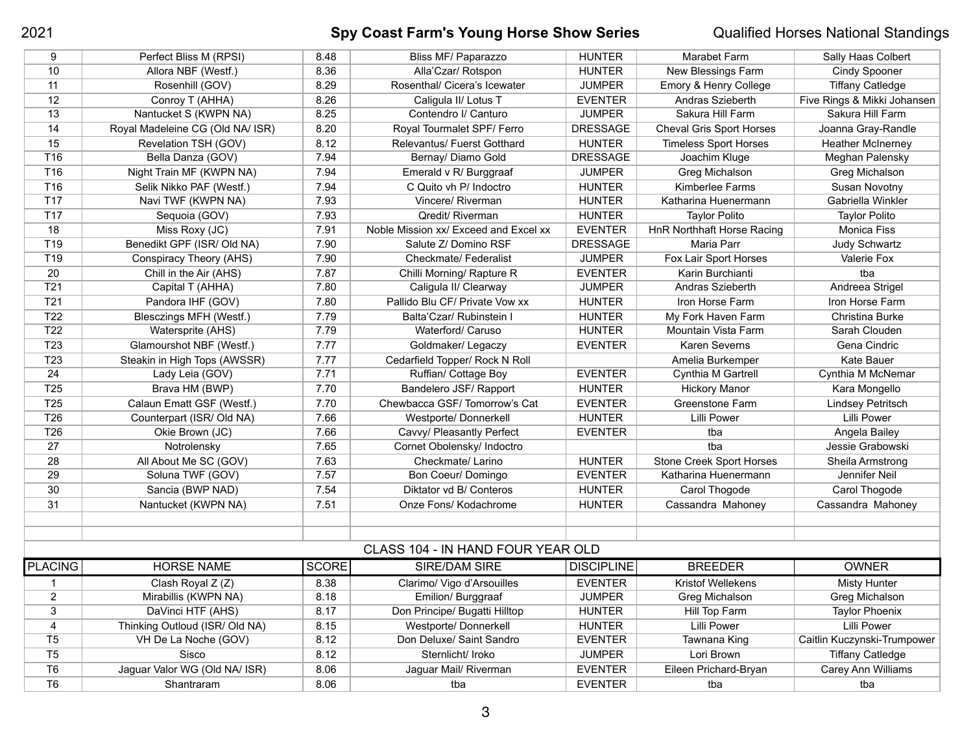## 2021 **Spy Coast Farm's Young Horse Show Series** Qualified Horses National Standings

| 9                                 | Perfect Bliss M (RPSI)           | 8.48         | Bliss MF/ Paparazzo                   | <b>HUNTER</b>     | Marabet Farm                      | Sally Haas Colbert          |  |  |
|-----------------------------------|----------------------------------|--------------|---------------------------------------|-------------------|-----------------------------------|-----------------------------|--|--|
| 10                                | Allora NBF (Westf.)              | 8.36         | Alla'Czar/ Rotspon                    | <b>HUNTER</b>     | New Blessings Farm                | <b>Cindy Spooner</b>        |  |  |
| 11                                | Rosenhill (GOV)                  | 8.29         | Rosenthal/ Cicera's Icewater          | <b>JUMPER</b>     | Emory & Henry College             | <b>Tiffany Catledge</b>     |  |  |
| 12                                | Conroy T (AHHA)                  | 8.26         | Caligula II/ Lotus T                  | <b>EVENTER</b>    | Andras Szieberth                  | Five Rings & Mikki Johansen |  |  |
| 13                                | Nantucket S (KWPN NA)            | 8.25         | Contendro I/ Canturo                  | <b>JUMPER</b>     | Sakura Hill Farm                  | Sakura Hill Farm            |  |  |
| 14                                | Royal Madeleine CG (Old NA/ ISR) | 8.20         | Royal Tourmalet SPF/ Ferro            | <b>DRESSAGE</b>   | <b>Cheval Gris Sport Horses</b>   | Joanna Gray-Randle          |  |  |
| 15                                | Revelation TSH (GOV)             | 8.12         | Relevantus/ Fuerst Gotthard           | <b>HUNTER</b>     | <b>Timeless Sport Horses</b>      | <b>Heather McInerney</b>    |  |  |
| T16                               | Bella Danza (GOV)                | 7.94         | Bernay/ Diamo Gold                    | <b>DRESSAGE</b>   | Joachim Kluge                     | Meghan Palensky             |  |  |
| T16                               | Night Train MF (KWPN NA)         | 7.94         | Emerald v R/ Burggraaf                | <b>JUMPER</b>     | Greg Michalson                    | Greg Michalson              |  |  |
| T16                               | Selik Nikko PAF (Westf.)         | 7.94         | C Quito vh P/ Indoctro                | <b>HUNTER</b>     | Kimberlee Farms                   | Susan Novotny               |  |  |
| T <sub>17</sub>                   | Navi TWF (KWPN NA)               | 7.93         | Vincere/ Riverman                     | <b>HUNTER</b>     | Katharina Huenermann              | Gabriella Winkler           |  |  |
| T <sub>17</sub>                   | Sequoia (GOV)                    | 7.93         | Qredit/ Riverman                      | <b>HUNTER</b>     | <b>Taylor Polito</b>              | <b>Taylor Polito</b>        |  |  |
| 18                                | Miss Roxy (JC)                   | 7.91         | Noble Mission xx/ Exceed and Excel xx | <b>EVENTER</b>    | <b>HnR Northhaft Horse Racing</b> | <b>Monica Fiss</b>          |  |  |
| T <sub>19</sub>                   | Benedikt GPF (ISR/ Old NA)       | 7.90         | Salute Z/ Domino RSF                  | <b>DRESSAGE</b>   | Maria Parr                        | <b>Judy Schwartz</b>        |  |  |
| T <sub>19</sub>                   | Conspiracy Theory (AHS)          | 7.90         | Checkmate/ Federalist                 | <b>JUMPER</b>     | Fox Lair Sport Horses             | Valerie Fox                 |  |  |
| 20                                | Chill in the Air (AHS)           | 7.87         | Chilli Morning/ Rapture R             | <b>EVENTER</b>    | Karin Burchianti                  | tba                         |  |  |
| T21                               | Capital T (AHHA)                 | 7.80         | Caligula II/ Clearway                 | <b>JUMPER</b>     | Andras Szieberth                  | Andreea Strigel             |  |  |
| T <sub>21</sub>                   | Pandora IHF (GOV)                | 7.80         | Pallido Blu CF/ Private Vow xx        | <b>HUNTER</b>     | Iron Horse Farm                   | Iron Horse Farm             |  |  |
| T <sub>22</sub>                   | Blesczings MFH (Westf.)          | 7.79         | Balta'Czar/ Rubinstein I              | <b>HUNTER</b>     | My Fork Haven Farm                | Christina Burke             |  |  |
| T <sub>22</sub>                   | Watersprite (AHS)                | 7.79         | Waterford/ Caruso                     | <b>HUNTER</b>     | Mountain Vista Farm               | Sarah Clouden               |  |  |
| T <sub>23</sub>                   | Glamourshot NBF (Westf.)         | 7.77         | Goldmaker/ Legaczy                    | <b>EVENTER</b>    | Karen Severns                     | Gena Cindric                |  |  |
| T <sub>23</sub>                   | Steakin in High Tops (AWSSR)     | 7.77         | Cedarfield Topper/ Rock N Roll        |                   | Amelia Burkemper                  | <b>Kate Bauer</b>           |  |  |
| 24                                | Lady Leia (GOV)                  | 7.71         | Ruffian/ Cottage Boy                  | <b>EVENTER</b>    | Cynthia M Gartrell                | Cynthia M McNemar           |  |  |
| T <sub>25</sub>                   | Brava HM (BWP)                   | 7.70         | Bandelero JSF/ Rapport                | <b>HUNTER</b>     | <b>Hickory Manor</b>              | Kara Mongello               |  |  |
| T <sub>25</sub>                   | Calaun Ematt GSF (Westf.)        | 7.70         | Chewbacca GSF/Tomorrow's Cat          | <b>EVENTER</b>    | <b>Greenstone Farm</b>            | <b>Lindsey Petritsch</b>    |  |  |
| T <sub>26</sub>                   | Counterpart (ISR/ Old NA)        | 7.66         | Westporte/ Donnerkell                 | <b>HUNTER</b>     | <b>Lilli Power</b>                | Lilli Power                 |  |  |
| T <sub>26</sub>                   | Okie Brown (JC)                  | 7.66         | Cavvy/ Pleasantly Perfect             | <b>EVENTER</b>    | tba                               | Angela Bailey               |  |  |
| 27                                | Notrolensky                      | 7.65         | Cornet Obolensky/ Indoctro            |                   | tba                               | Jessie Grabowski            |  |  |
| 28                                | All About Me SC (GOV)            | 7.63         | Checkmate/ Larino                     | <b>HUNTER</b>     | <b>Stone Creek Sport Horses</b>   | Sheila Armstrong            |  |  |
| 29                                | Soluna TWF (GOV)                 | 7.57         | Bon Coeur/ Domingo                    | <b>EVENTER</b>    | Katharina Huenermann              | Jennifer Neil               |  |  |
| 30                                | Sancia (BWP NAD)                 | 7.54         | Diktator vd B/ Conteros               | <b>HUNTER</b>     | Carol Thogode                     | Carol Thogode               |  |  |
| 31                                | Nantucket (KWPN NA)              | 7.51         | Onze Fons/ Kodachrome                 | <b>HUNTER</b>     | Cassandra Mahoney                 | Cassandra Mahoney           |  |  |
|                                   |                                  |              |                                       |                   |                                   |                             |  |  |
|                                   |                                  |              |                                       |                   |                                   |                             |  |  |
| CLASS 104 - IN HAND FOUR YEAR OLD |                                  |              |                                       |                   |                                   |                             |  |  |
| <b>PLACING</b>                    | <b>HORSE NAME</b>                | <b>SCORE</b> | SIRE/DAM SIRE                         | <b>DISCIPLINE</b> | <b>BREEDER</b>                    | <b>OWNER</b>                |  |  |
| -1                                | Clash Royal Z (Z)                | 8.38         | Clarimo/ Vigo d'Arsouilles            | <b>EVENTER</b>    | <b>Kristof Wellekens</b>          | <b>Misty Hunter</b>         |  |  |
| $\overline{2}$                    | Mirabillis (KWPN NA)             | 8.18         | Emilion/ Burggraaf                    | <b>JUMPER</b>     | Greg Michalson                    | Greg Michalson              |  |  |
| 3                                 | DaVinci HTF (AHS)                | 8.17         | Don Principe/ Bugatti Hilltop         | <b>HUNTER</b>     | Hill Top Farm                     | <b>Taylor Phoenix</b>       |  |  |
| $\overline{\mathbf{4}}$           | Thinking Outloud (ISR/ Old NA)   | 8.15         | Westporte/ Donnerkell                 | <b>HUNTER</b>     | <b>Lilli Power</b>                | <b>Lilli Power</b>          |  |  |
| T <sub>5</sub>                    | VH De La Noche (GOV)             | 8.12         | Don Deluxe/ Saint Sandro              | <b>EVENTER</b>    | Tawnana King                      | Caitlin Kuczynski-Trumpower |  |  |
| T <sub>5</sub>                    | Sisco                            | 8.12         | Sternlicht/ Iroko                     | <b>JUMPER</b>     | Lori Brown                        | <b>Tiffany Catledge</b>     |  |  |
| T <sub>6</sub>                    | Jaguar Valor WG (Old NA/ ISR)    | 8.06         | Jaguar Mail/ Riverman                 | <b>EVENTER</b>    | Eileen Prichard-Bryan             | Carey Ann Williams          |  |  |
| T <sub>6</sub>                    | Shantraram                       | 8.06         | tba                                   | <b>EVENTER</b>    | tba                               | tba                         |  |  |